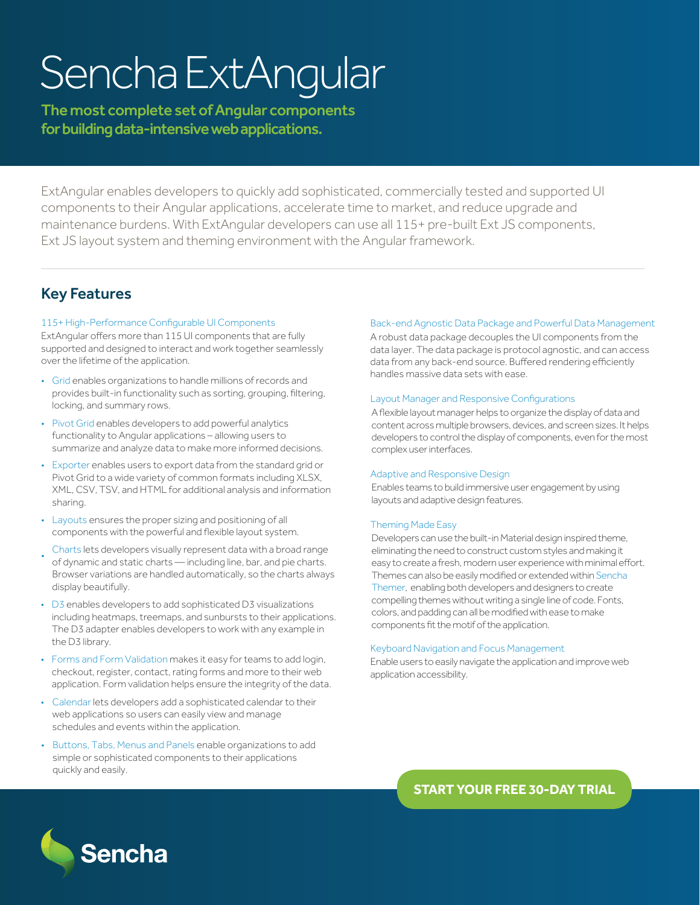# Sencha ExtAngular

The most complete set of Angular components for building data-intensive web applications.

ExtAngular enables developers to quickly add sophisticated, commercially tested and supported UI components to their Angular applications, accelerate time to market, and reduce upgrade and maintenance burdens. With ExtAngular developers can use all 115+ pre-built Ext JS components, Ext JS layout system and theming environment with the Angular framework.

# Key Features

## 115+ High-Performance Configurable UI Components

ExtAngular offers more than 115 UI components that are fully supported and designed to interact and work together seamlessly over the lifetime of the application.

- Grid enables organizations to handle millions of records and provides built-in functionality such as sorting, grouping, filtering, locking, and summary rows.
- Pivot Grid enables developers to add powerful analytics functionality to Angular applications – allowing users to summarize and analyze data to make more informed decisions.
- Exporter enables users to export data from the standard grid or Pivot Grid to a wide variety of common formats including XLSX, XML, CSV, TSV, and HTML for additional analysis and information sharing.
- Layouts ensures the proper sizing and positioning of all components with the powerful and flexible layout system.
- Charts lets developers visually represent data with a broad range of dynamic and static charts — including line, bar, and pie charts. Browser variations are handled automatically, so the charts always display beautifully.
- D3 enables developers to add sophisticated D3 visualizations including heatmaps, treemaps, and sunbursts to their applications. The D3 adapter enables developers to work with any example in the D3 library.
- Forms and Form Validation makes it easy for teams to add login, checkout, register, contact, rating forms and more to their web application. Form validation helps ensure the integrity of the data.
- Calendar lets developers add a sophisticated calendar to their web applications so users can easily view and manage schedules and events within the application.
- Buttons, Tabs, Menus and Panels enable organizations to add simple or sophisticated components to their applications quickly and easily.

## Back-end Agnostic Data Package and Powerful Data Management

A robust data package decouples the UI components from the data layer. The data package is protocol agnostic, and can access data from any back-end source. Buffered rendering efficiently handles massive data sets with ease.

## Layout Manager and Responsive Configurations

A flexible layout manager helps to organize the display of data and content across multiple browsers, devices, and screen sizes. It helps developers to control the display of components, even for the most complex user interfaces.

## Adaptive and Responsive Design

Enables teams to build immersive user engagement by using layouts and adaptive design features.

## Theming Made Easy

Developers can use the built-in Material design inspired theme, eliminating the need to construct custom styles and making it easy to create a fresh, modern user experience with minimal effort. Themes can also be easily modified or extended within Sencha Themer, enabling both developers and designers to create compelling themes without writing a single line of code. Fonts, colors, and padding can all be modified with ease to make components fit the motif of the application.

## Keyboard Navigation and Focus Management

Enable users to easily navigate the application and improve web application accessibility.

> **[START YOUR FREE 30-DAY TRIAL](https://www.sencha.com/products/extangular/evaluate/?utm_source=datasheet&utm_medium=inasset&utm_campaign=sncextangular&utm_content=sncextangular-datasheet)** https://www.sencha.com/products/extangular/evaluate/utm\_medium=inasset $\alpha$